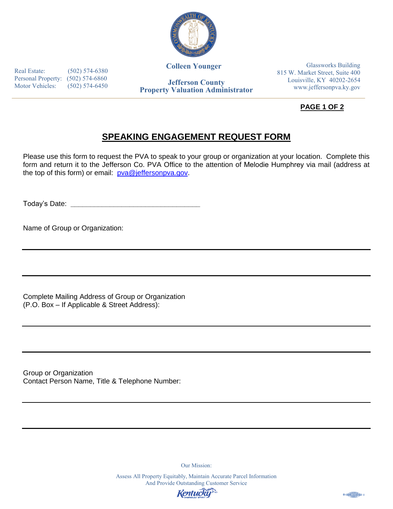

**Colleen Younger**

Real Estate: (502) 574-6380 Personal Property: (502) 574-6860 Motor Vehicles: (502) 574-6450

**Jefferson County Property Valuation Administrator**

Glassworks Building 815 W. Market Street, Suite 400 Louisville, KY 40202-2654 www.jeffersonpva.ky.gov

**PAGE 1 OF 2** 

## **SPEAKING ENGAGEMENT REQUEST FORM**

Please use this form to request the PVA to speak to your group or organization at your location. Complete this form and return it to the Jefferson Co. PVA Office to the attention of Melodie Humphrey via mail (address at the top of this form) or email: pva@jeffersonpva.gov.

Today's Date: **\_\_\_\_\_\_\_\_\_\_\_\_\_\_\_\_\_\_\_\_\_\_\_\_\_\_\_\_\_\_\_\_\_** 

Name of Group or Organization:

Complete Mailing Address of Group or Organization (P.O. Box – If Applicable & Street Address):

Group or Organization Contact Person Name, Title & Telephone Number:

Our Mission:

Assess All Property Equitably, Maintain Accurate Parcel Information And Provide Outstanding Customer Service